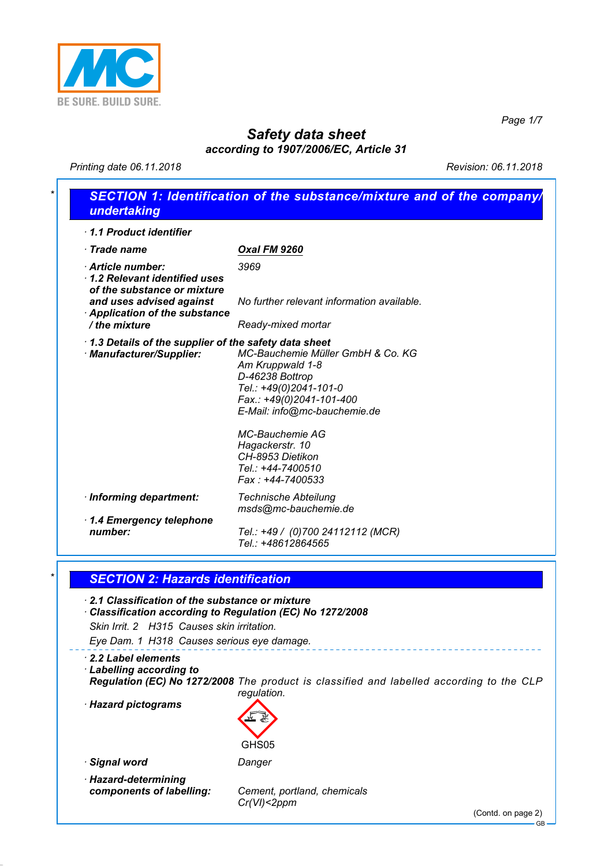

*Page 1/7*

## *Safety data sheet according to 1907/2006/EC, Article 31*

*Printing date 06.11.2018 Revision: 06.11.2018*

| 1.1 Product identifier                                                                                                                                                                               |                                                                                                                                                                |
|------------------------------------------------------------------------------------------------------------------------------------------------------------------------------------------------------|----------------------------------------------------------------------------------------------------------------------------------------------------------------|
| $\cdot$ Trade name                                                                                                                                                                                   | <b>Oxal FM 9260</b>                                                                                                                                            |
| Article number:<br>1.2 Relevant identified uses<br>of the substance or mixture                                                                                                                       | 3969                                                                                                                                                           |
| and uses advised against<br>Application of the substance<br>/ the mixture                                                                                                                            | No further relevant information available.                                                                                                                     |
|                                                                                                                                                                                                      | Ready-mixed mortar                                                                                                                                             |
| 1.3 Details of the supplier of the safety data sheet<br>· Manufacturer/Supplier:                                                                                                                     | MC-Bauchemie Müller GmbH & Co. KG<br>Am Kruppwald 1-8<br>D-46238 Bottrop<br>Tel.: +49(0)2041-101-0<br>Fax.: +49(0)2041-101-400<br>E-Mail: info@mc-bauchemie.de |
|                                                                                                                                                                                                      | <b>MC-Bauchemie AG</b><br>Hagackerstr. 10<br>CH-8953 Dietikon<br>Tel.: +44-7400510<br>Fax: +44-7400533                                                         |
| · Informing department:                                                                                                                                                                              | <b>Technische Abteilung</b>                                                                                                                                    |
| 1.4 Emergency telephone<br>number:                                                                                                                                                                   | msds@mc-bauchemie.de<br>Tel.: +49 / (0)700 24112112 (MCR)<br>Tel.: +48612864565                                                                                |
| <b>SECTION 2: Hazards identification</b><br>2.1 Classification of the substance or mixture<br>Classification according to Regulation (EC) No 1272/2008<br>Skin Irrit. 2 H315 Causes skin irritation. |                                                                                                                                                                |
| Eye Dam. 1 H318 Causes serious eye damage.                                                                                                                                                           |                                                                                                                                                                |
| 2.2 Label elements                                                                                                                                                                                   |                                                                                                                                                                |
| <b>Labelling according to</b>                                                                                                                                                                        |                                                                                                                                                                |
| · Hazard pictograms                                                                                                                                                                                  | regulation.                                                                                                                                                    |
|                                                                                                                                                                                                      | GHS05                                                                                                                                                          |
| · Signal word                                                                                                                                                                                        | Danger                                                                                                                                                         |
| · Hazard-determining<br>components of labelling:                                                                                                                                                     | Regulation (EC) No 1272/2008 The product is classified and labelled according to the CLP<br>Cement, portland, chemicals<br>Cr(VI) < 2ppm                       |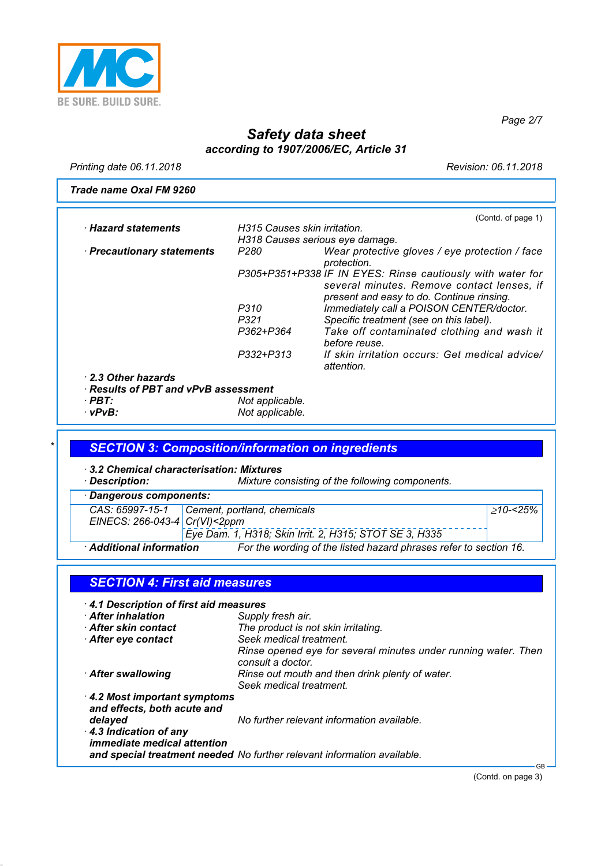

*Page 2/7*

## *Safety data sheet according to 1907/2006/EC, Article 31*

*Printing date 06.11.2018 Revision: 06.11.2018*

*Trade name Oxal FM 9260*

|                                            |                              | (Contd. of page 1)                                                                      |
|--------------------------------------------|------------------------------|-----------------------------------------------------------------------------------------|
| · Hazard statements                        | H315 Causes skin irritation. |                                                                                         |
|                                            |                              | H318 Causes serious eye damage.                                                         |
| · Precautionary statements                 | P280                         | Wear protective gloves / eye protection / face<br>protection.                           |
|                                            |                              | P305+P351+P338 IF IN EYES: Rinse cautiously with water for                              |
|                                            |                              | several minutes. Remove contact lenses, if<br>present and easy to do. Continue rinsing. |
|                                            | P310                         | Immediately call a POISON CENTER/doctor.                                                |
|                                            | P321                         | Specific treatment (see on this label).                                                 |
|                                            | P362+P364                    | Take off contaminated clothing and wash it<br>before reuse.                             |
|                                            | P332+P313                    | If skin irritation occurs: Get medical advice/<br>attention.                            |
| 2.3 Other hazards                          |                              |                                                                                         |
| $\cdot$ Results of PBT and vPvB assessment |                              |                                                                                         |
| $\cdot$ PBT:                               | Not applicable.              |                                                                                         |
| ∙ vPvB:                                    | Not applicable.              |                                                                                         |

### *\* SECTION 3: Composition/information on ingredients*

*· 3.2 Chemical characterisation: Mixtures*

*Mixture consisting of the following components.* 

| Dangerous components:             |                                                                   |          |
|-----------------------------------|-------------------------------------------------------------------|----------|
|                                   | CAS: 65997-15-1 Cement, portland, chemicals                       | >10-<25% |
| EINECS: 266-043-4 $Cr(VI) < 2ppm$ | Eye Dam. 1, H318; Skin Irrit. 2, H315; STOT SE 3, H335            |          |
| <b>Additional information</b>     | For the wording of the listed hazard phrases refer to section 16. |          |

| 4.1 Description of first aid measures                       |                                                                                     |
|-------------------------------------------------------------|-------------------------------------------------------------------------------------|
| <b>After inhalation</b>                                     | Supply fresh air.                                                                   |
| After skin contact                                          | The product is not skin irritating.                                                 |
| After eye contact                                           | Seek medical treatment.                                                             |
|                                                             | Rinse opened eye for several minutes under running water. Then<br>consult a doctor. |
| After swallowing                                            | Rinse out mouth and then drink plenty of water.<br>Seek medical treatment.          |
| 4.2 Most important symptoms                                 |                                                                                     |
| and effects, both acute and                                 |                                                                                     |
| delayed                                                     | No further relevant information available.                                          |
| 4.3 Indication of any<br><i>immediate medical attention</i> |                                                                                     |
|                                                             | and special treatment needed No further relevant information available.             |

(Contd. on page 3)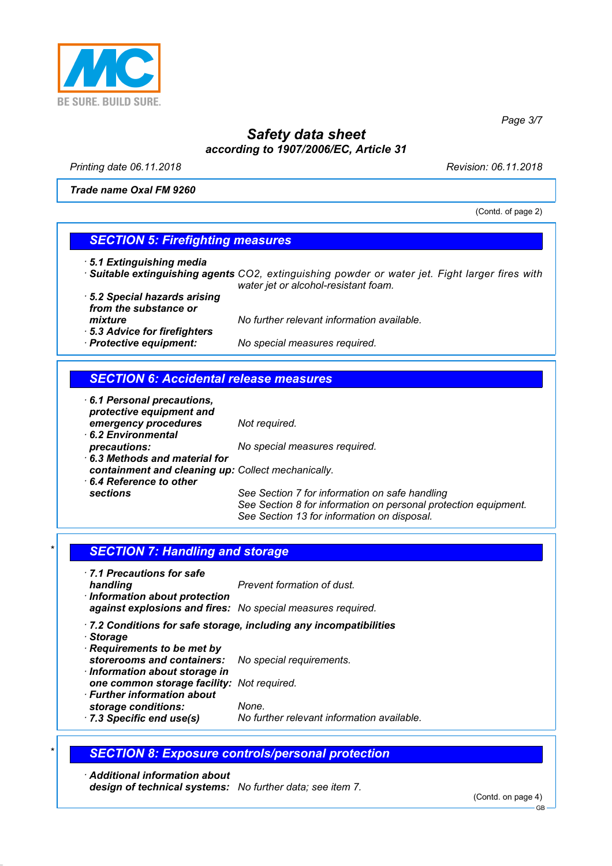

*Printing date 06.11.2018 Revision: 06.11.2018*

*Trade name Oxal FM 9260*

(Contd. of page 2)

*Page 3/7*

#### *SECTION 5: Firefighting measures*

- *· 5.1 Extinguishing media*
- *· Suitable extinguishing agents CO2, extinguishing powder or water jet. Fight larger fires with water jet or alcohol-resistant foam.*
- *· 5.2 Special hazards arising from the substance or · 5.3 Advice for firefighters*

*mixture No further relevant information available.*

#### *SECTION 6: Accidental release measures*

*· Protective equipment: No special measures required.*

*· 6.1 Personal precautions, protective equipment and emergency procedures Not required. · 6.2 Environmental*

*precautions: No special measures required. · 6.3 Methods and material for containment and cleaning up: Collect mechanically. · 6.4 Reference to other*

See Section 7 for information on safe handling *See Section 8 for information on personal protection equipment. See Section 13 for information on disposal.*

#### **SECTION 7: Handling and storage**

- *· 7.1 Precautions for safe handling Prevent formation of dust. · Information about protection against explosions and fires: No special measures required.*
- *· 7.2 Conditions for safe storage, including any incompatibilities*
- *· Storage*
- *· Requirements to be met by storerooms and containers: No special requirements.*
- *· Information about storage in*
	- *one common storage facility: Not required.*
- *· Further information about storage conditions: None.*
- *· 7.3 Specific end use(s) No further relevant information available.*

#### *\* SECTION 8: Exposure controls/personal protection*

*· Additional information about design of technical systems: No further data; see item 7.*

(Contd. on page 4)

GB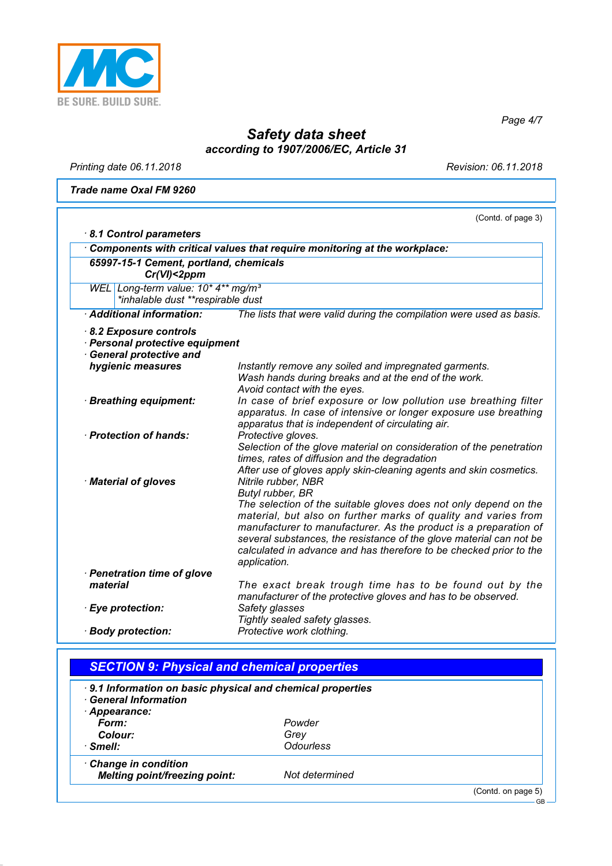

*Page 4/7*

# *Safety data sheet according to 1907/2006/EC, Article 31*

*Printing date 06.11.2018 Revision: 06.11.2018*

*Trade name Oxal FM 9260*

|                                                                                                                | (Contd. of page 3)                                                                                                                                                                                                                                                                                                                                                                                             |
|----------------------------------------------------------------------------------------------------------------|----------------------------------------------------------------------------------------------------------------------------------------------------------------------------------------------------------------------------------------------------------------------------------------------------------------------------------------------------------------------------------------------------------------|
| 8.1 Control parameters                                                                                         |                                                                                                                                                                                                                                                                                                                                                                                                                |
|                                                                                                                | Components with critical values that require monitoring at the workplace:                                                                                                                                                                                                                                                                                                                                      |
| 65997-15-1 Cement, portland, chemicals<br>$Cr(VI)<2$ ppm                                                       |                                                                                                                                                                                                                                                                                                                                                                                                                |
| WEL Long-term value: 10* 4** mg/m <sup>3</sup><br>*inhalable dust **respirable dust                            |                                                                                                                                                                                                                                                                                                                                                                                                                |
| · Additional information:                                                                                      | The lists that were valid during the compilation were used as basis.                                                                                                                                                                                                                                                                                                                                           |
| 8.2 Exposure controls<br>· Personal protective equipment<br><b>General protective and</b><br>hygienic measures | Instantly remove any soiled and impregnated garments.<br>Wash hands during breaks and at the end of the work.                                                                                                                                                                                                                                                                                                  |
| · Breathing equipment:                                                                                         | Avoid contact with the eyes.<br>In case of brief exposure or low pollution use breathing filter<br>apparatus. In case of intensive or longer exposure use breathing<br>apparatus that is independent of circulating air.                                                                                                                                                                                       |
| · Protection of hands:                                                                                         | Protective gloves.<br>Selection of the glove material on consideration of the penetration<br>times, rates of diffusion and the degradation<br>After use of gloves apply skin-cleaning agents and skin cosmetics.                                                                                                                                                                                               |
| · Material of gloves                                                                                           | Nitrile rubber, NBR<br>Butyl rubber, BR<br>The selection of the suitable gloves does not only depend on the<br>material, but also on further marks of quality and varies from<br>manufacturer to manufacturer. As the product is a preparation of<br>several substances, the resistance of the glove material can not be<br>calculated in advance and has therefore to be checked prior to the<br>application. |
| · Penetration time of glove<br>material                                                                        | The exact break trough time has to be found out by the                                                                                                                                                                                                                                                                                                                                                         |
| · Eye protection:                                                                                              | manufacturer of the protective gloves and has to be observed.<br>Safety glasses<br>Tightly sealed safety glasses.                                                                                                                                                                                                                                                                                              |
| · Body protection:                                                                                             | Protective work clothing.                                                                                                                                                                                                                                                                                                                                                                                      |

| <b>SECTION 9: Physical and chemical properties</b>                                      |                  |                    |
|-----------------------------------------------------------------------------------------|------------------|--------------------|
| 9.1 Information on basic physical and chemical properties<br><b>General Information</b> |                  |                    |
| · Appearance:                                                                           |                  |                    |
| Form:                                                                                   | Powder           |                    |
| Colour:                                                                                 | Grey             |                    |
| $\cdot$ Smell:                                                                          | <b>Odourless</b> |                    |
| Change in condition                                                                     |                  |                    |
| <b>Melting point/freezing point:</b>                                                    | Not determined   |                    |
|                                                                                         |                  | (Contd. on page 5) |

GB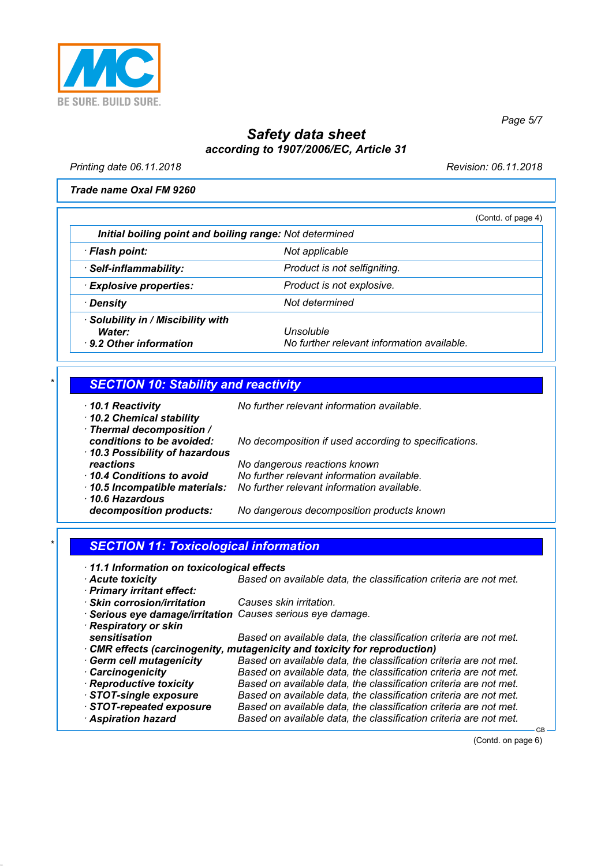

*Printing date 06.11.2018 Revision: 06.11.2018*

*Page 5/7*

*Trade name Oxal FM 9260*

|                                                                         | (Contd. of page 4)                                      |  |
|-------------------------------------------------------------------------|---------------------------------------------------------|--|
| Initial boiling point and boiling range: Not determined                 |                                                         |  |
| · Flash point:                                                          | Not applicable                                          |  |
| · Self-inflammability:                                                  | Product is not selfigniting.                            |  |
| <b>Explosive properties:</b>                                            | Product is not explosive.                               |  |
| · Density                                                               | Not determined                                          |  |
| · Solubility in / Miscibility with<br>Water:<br>⋅ 9.2 Other information | Unsoluble<br>No further relevant information available. |  |

### *\* SECTION 10: Stability and reactivity*

|  | 10.1 Reactivity |  |
|--|-----------------|--|
|  |                 |  |

*· 10.2 Chemical stability*

*· 10.1 Reactivity No further relevant information available.*

| · Thermal decomposition /<br>conditions to be avoided:<br>10.3 Possibility of hazardous | No decomposition if used according to specifications. |
|-----------------------------------------------------------------------------------------|-------------------------------------------------------|
| reactions                                                                               | No dangerous reactions known                          |
| 10.4 Conditions to avoid                                                                | No further relevant information available.            |
| 10.5 Incompatible materials:                                                            | No further relevant information available.            |
| 10.6 Hazardous                                                                          |                                                       |
| decomposition products:                                                                 | No dangerous decomposition products known             |

### *\* SECTION 11: Toxicological information*

| 11.1 Information on toxicological effects |  |  |
|-------------------------------------------|--|--|
|-------------------------------------------|--|--|

| $+$ 11.1 Information on toxicological effects              |                                                                           |
|------------------------------------------------------------|---------------------------------------------------------------------------|
| Acute toxicity                                             | Based on available data, the classification criteria are not met.         |
| · Primary irritant effect:                                 |                                                                           |
| · Skin corrosion/irritation                                | Causes skin irritation.                                                   |
| · Serious eye damage/irritation Causes serious eye damage. |                                                                           |
| · Respiratory or skin                                      |                                                                           |
| sensitisation                                              | Based on available data, the classification criteria are not met.         |
|                                                            | • CMR effects (carcinogenity, mutagenicity and toxicity for reproduction) |
| <b>Germ cell mutagenicity</b>                              | Based on available data, the classification criteria are not met.         |
| <b>Carcinogenicity</b>                                     | Based on available data, the classification criteria are not met.         |
| · Reproductive toxicity                                    | Based on available data, the classification criteria are not met.         |
| STOT-single exposure                                       | Based on available data, the classification criteria are not met.         |
| STOT-repeated exposure                                     | Based on available data, the classification criteria are not met.         |
| <b>Aspiration hazard</b>                                   | Based on available data, the classification criteria are not met.         |

(Contd. on page 6)

GB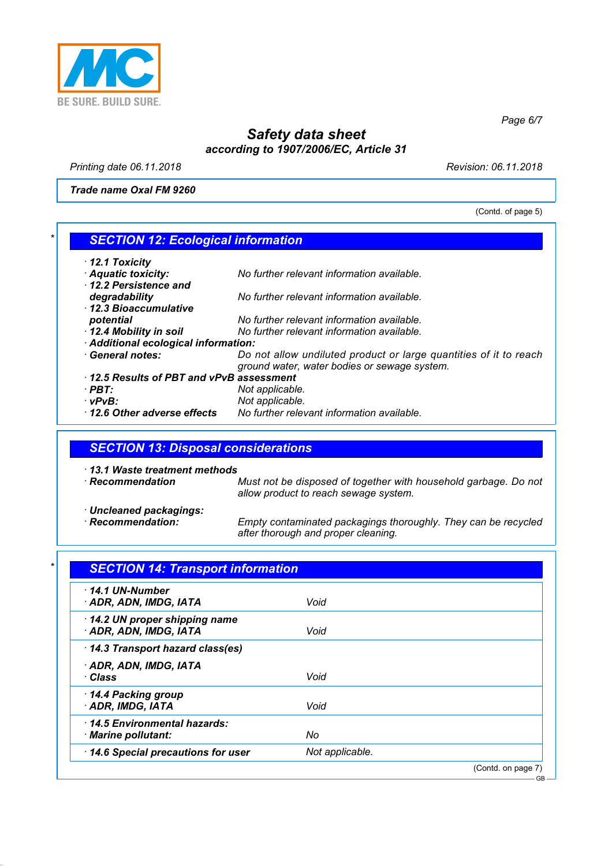

*Printing date 06.11.2018 Revision: 06.11.2018*

*Trade name Oxal FM 9260*

(Contd. of page 5)

*Page 6/7*

# *\* SECTION 12: Ecological information*

| $\cdot$ 12.1 Toxicity                   |                                                                   |
|-----------------------------------------|-------------------------------------------------------------------|
| · Aquatic toxicity:                     | No further relevant information available.                        |
| 12.2 Persistence and                    |                                                                   |
| degradability                           | No further relevant information available.                        |
| 12.3 Bioaccumulative                    |                                                                   |
| potential                               | No further relevant information available.                        |
| 12.4 Mobility in soil                   | No further relevant information available.                        |
| · Additional ecological information:    |                                                                   |
| · General notes:                        | Do not allow undiluted product or large quantities of it to reach |
|                                         | ground water, water bodies or sewage system.                      |
| 12.5 Results of PBT and vPvB assessment |                                                                   |
| · PBT:                                  | Not applicable.                                                   |
| ∴vPvB∶                                  | Not applicable.                                                   |
| 12.6 Other adverse effects              | No further relevant information available.                        |

#### *SECTION 13: Disposal considerations*

*· 13.1 Waste treatment methods Must not be disposed of together with household garbage. Do not allow product to reach sewage system. · Uncleaned packagings: Empty contaminated packagings thoroughly. They can be recycled after thorough and proper cleaning.*

| 14.1 UN-Number <sup>.</sup><br>· ADR, ADN, IMDG, IATA  | Void            |  |
|--------------------------------------------------------|-----------------|--|
| 14.2 UN proper shipping name<br>· ADR, ADN, IMDG, IATA | Void            |  |
| 14.3 Transport hazard class(es)                        |                 |  |
| · ADR, ADN, IMDG, IATA<br>· Class                      | Void            |  |
| 14.4 Packing group<br>ADR, IMDG, IATA                  | Void            |  |
| 14.5 Environmental hazards:<br>· Marine pollutant:     | No              |  |
| 14.6 Special precautions for user                      | Not applicable. |  |